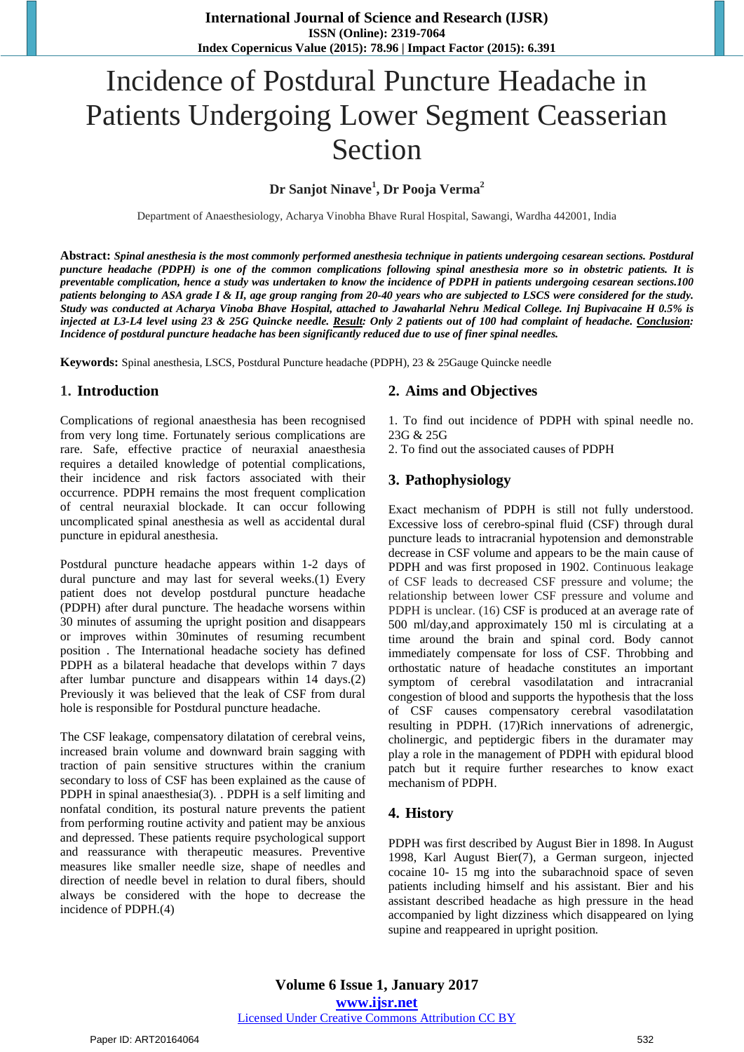# Incidence of Postdural Puncture Headache in Patients Undergoing Lower Segment Ceasserian Section

**Dr Sanjot Ninave<sup>1</sup> , Dr Pooja Verma<sup>2</sup>**

Department of Anaesthesiology, Acharya Vinobha Bhave Rural Hospital, Sawangi, Wardha 442001, India

**Abstract:** *Spinal anesthesia is the most commonly performed anesthesia technique in patients undergoing cesarean sections. Postdural puncture headache (PDPH) is one of the common complications following spinal anesthesia more so in obstetric patients. It is preventable complication, hence a study was undertaken to know the incidence of PDPH in patients undergoing cesarean sections.100 patients belonging to ASA grade I & II, age group ranging from 20-40 years who are subjected to LSCS were considered for the study. Study was conducted at Acharya Vinoba Bhave Hospital, attached to Jawaharlal Nehru Medical College. Inj Bupivacaine H 0.5% is injected at L3-L4 level using 23 & 25G Quincke needle. Result: Only 2 patients out of 100 had complaint of headache. Conclusion: Incidence of postdural puncture headache has been significantly reduced due to use of finer spinal needles.* 

**Keywords:** Spinal anesthesia, LSCS, Postdural Puncture headache (PDPH), 23 & 25Gauge Quincke needle

#### **1. Introduction**

Complications of regional anaesthesia has been recognised from very long time. Fortunately serious complications are rare. Safe, effective practice of neuraxial anaesthesia requires a detailed knowledge of potential complications, their incidence and risk factors associated with their occurrence. PDPH remains the most frequent complication of central neuraxial blockade. It can occur following uncomplicated spinal anesthesia as well as accidental dural puncture in epidural anesthesia.

Postdural puncture headache appears within 1-2 days of dural puncture and may last for several weeks.(1) Every patient does not develop postdural puncture headache (PDPH) after dural puncture. The headache worsens within 30 minutes of assuming the upright position and disappears or improves within 30minutes of resuming recumbent position . The International headache society has defined PDPH as a bilateral headache that develops within 7 days after lumbar puncture and disappears within 14 days.(2) Previously it was believed that the leak of CSF from dural hole is responsible for Postdural puncture headache.

The CSF leakage, compensatory dilatation of cerebral veins, increased brain volume and downward brain sagging with traction of pain sensitive structures within the cranium secondary to loss of CSF has been explained as the cause of PDPH in spinal anaesthesia(3)*.* . PDPH is a self limiting and nonfatal condition, its postural nature prevents the patient from performing routine activity and patient may be anxious and depressed. These patients require psychological support and reassurance with therapeutic measures. Preventive measures like smaller needle size, shape of needles and direction of needle bevel in relation to dural fibers, should always be considered with the hope to decrease the incidence of PDPH.(4)

#### **2. Aims and Objectives**

1. To find out incidence of PDPH with spinal needle no. 23G & 25G

2. To find out the associated causes of PDPH

#### **3. Pathophysiology**

Exact mechanism of PDPH is still not fully understood. Excessive loss of cerebro-spinal fluid (CSF) through dural puncture leads to intracranial hypotension and demonstrable decrease in CSF volume and appears to be the main cause of PDPH and was first proposed in 1902. Continuous leakage of CSF leads to decreased CSF pressure and volume; the relationship between lower CSF pressure and volume and PDPH is unclear. (16) CSF is produced at an average rate of 500 ml/day,and approximately 150 ml is circulating at a time around the brain and spinal cord. Body cannot immediately compensate for loss of CSF. Throbbing and orthostatic nature of headache constitutes an important symptom of cerebral vasodilatation and intracranial congestion of blood and supports the hypothesis that the loss of CSF causes compensatory cerebral vasodilatation resulting in PDPH. (17)Rich innervations of adrenergic, cholinergic, and peptidergic fibers in the duramater may play a role in the management of PDPH with epidural blood patch but it require further researches to know exact mechanism of PDPH.

#### **4. History**

PDPH was first described by August Bier in 1898. In August 1998, Karl August Bier(7), a German surgeon, injected cocaine 10- 15 mg into the subarachnoid space of seven patients including himself and his assistant. Bier and his assistant described headache as high pressure in the head accompanied by light dizziness which disappeared on lying supine and reappeared in upright position*.* 

**Volume 6 Issue 1, January 2017 www.ijsr.net** Licensed Under Creative Commons Attribution CC BY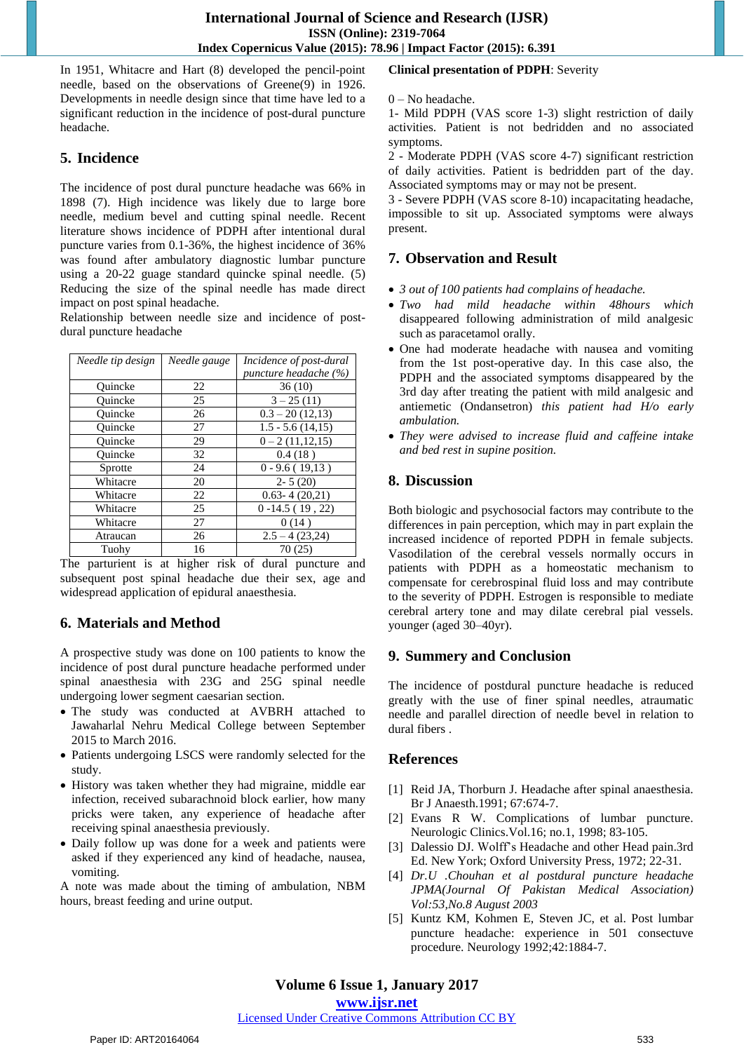In 1951, Whitacre and Hart (8) developed the pencil-point needle, based on the observations of Greene(9) in 1926. Developments in needle design since that time have led to a significant reduction in the incidence of post-dural puncture headache.

### **5. Incidence**

The incidence of post dural puncture headache was 66% in 1898 (7). High incidence was likely due to large bore needle, medium bevel and cutting spinal needle. Recent literature shows incidence of PDPH after intentional dural puncture varies from 0.1-36%, the highest incidence of 36% was found after ambulatory diagnostic lumbar puncture using a 20-22 guage standard quincke spinal needle. (5) Reducing the size of the spinal needle has made direct impact on post spinal headache.

Relationship between needle size and incidence of postdural puncture headache

| Needle tip design | Needle gauge | Incidence of post-dural |
|-------------------|--------------|-------------------------|
|                   |              | puncture headache (%)   |
| Ouincke           | 22           | 36(10)                  |
| Ouincke           | 25           | $3 - 25(11)$            |
| Ouincke           | 26           | $0.3 - 20(12,13)$       |
| Ouincke           | 27           | $1.5 - 5.6(14.15)$      |
| Ouincke           | 29           | $0 - 2(11, 12, 15)$     |
| Ouincke           | 32           | 0.4(18)                 |
| Sprotte           | 24           | $0 - 9.6(19,13)$        |
| Whitacre          | 20           | $2 - 5(20)$             |
| Whitacre          | 22           | $0.63 - 4(20.21)$       |
| Whitacre          | 25           | $0 - 14.5(19, 22)$      |
| Whitacre          | 27           | 0(14)                   |
| Atraucan          | 26           | $2.5 - 4(23,24)$        |
| Tuohy             | 16           | 70(25)                  |

The parturient is at higher risk of dural puncture and subsequent post spinal headache due their sex, age and widespread application of epidural anaesthesia.

## **6. Materials and Method**

A prospective study was done on 100 patients to know the incidence of post dural puncture headache performed under spinal anaesthesia with 23G and 25G spinal needle undergoing lower segment caesarian section.

- The study was conducted at AVBRH attached to Jawaharlal Nehru Medical College between September 2015 to March 2016.
- Patients undergoing LSCS were randomly selected for the study.
- History was taken whether they had migraine, middle ear infection, received subarachnoid block earlier, how many pricks were taken, any experience of headache after receiving spinal anaesthesia previously.
- Daily follow up was done for a week and patients were asked if they experienced any kind of headache, nausea, vomiting.

A note was made about the timing of ambulation, NBM hours, breast feeding and urine output.

## **Clinical presentation of PDPH**: Severity

#### 0 – No headache.

1- Mild PDPH (VAS score 1-3) slight restriction of daily activities. Patient is not bedridden and no associated symptoms.

2 - Moderate PDPH (VAS score 4-7) significant restriction of daily activities. Patient is bedridden part of the day. Associated symptoms may or may not be present.

3 - Severe PDPH (VAS score 8-10) incapacitating headache, impossible to sit up. Associated symptoms were always present.

## **7. Observation and Result**

- *3 out of 100 patients had complains of headache.*
- *Two had mild headache within 48hours which*  disappeared following administration of mild analgesic such as paracetamol orally.
- One had moderate headache with nausea and vomiting from the 1st post-operative day. In this case also, the PDPH and the associated symptoms disappeared by the 3rd day after treating the patient with mild analgesic and antiemetic (Ondansetron) *this patient had H/o early ambulation.*
- *They were advised to increase fluid and caffeine intake and bed rest in supine position.*

## **8. Discussion**

Both biologic and psychosocial factors may contribute to the differences in pain perception, which may in part explain the increased incidence of reported PDPH in female subjects. Vasodilation of the cerebral vessels normally occurs in patients with PDPH as a homeostatic mechanism to compensate for cerebrospinal fluid loss and may contribute to the severity of PDPH. Estrogen is responsible to mediate cerebral artery tone and may dilate cerebral pial vessels. younger (aged 30–40yr).

## **9. Summery and Conclusion**

The incidence of postdural puncture headache is reduced greatly with the use of finer spinal needles, atraumatic needle and parallel direction of needle bevel in relation to dural fibers .

## **References**

- [1] Reid JA, Thorburn J. Headache after spinal anaesthesia. Br J Anaesth.1991; 67:674-7.
- [2] Evans R W. Complications of lumbar puncture. Neurologic Clinics.Vol.16; no.1, 1998; 83-105.
- [3] Dalessio DJ. Wolff's Headache and other Head pain.3rd Ed. New York; Oxford University Press, 1972; 22-31.
- [4] *Dr.U .Chouhan et al postdural puncture headache JPMA(Journal Of Pakistan Medical Association) Vol:53,No.8 August 2003*
- [5] Kuntz KM, Kohmen E, Steven JC, et al. Post lumbar puncture headache: experience in 501 consectuve procedure. Neurology 1992;42:1884-7.

## **Volume 6 Issue 1, January 2017**

**www.ijsr.net**

#### Licensed Under Creative Commons Attribution CC BY